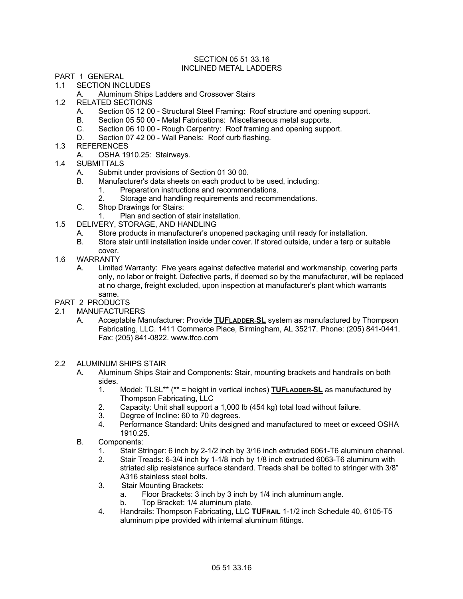## SECTION 05 51 33.16 INCLINED METAL LADDERS

- PART 1 GENERAL
- 1.1 SECTION INCLUDES
	- A. Aluminum Ships Ladders and Crossover Stairs
- 1.2 RELATED SECTIONS
	- A. Section 05 12 00 Structural Steel Framing: Roof structure and opening support.
	- B. Section 05 50 00 Metal Fabrications: Miscellaneous metal supports.
	- C. Section 06 10 00 Rough Carpentry: Roof framing and opening support.
	- D. Section 07 42 00 Wall Panels: Roof curb flashing.
- 1.3 REFERENCES
	- A. OSHA 1910.25: Stairways.
- 1.4 SUBMITTALS
	- A. Submit under provisions of Section 01 30 00.
	- B. Manufacturer's data sheets on each product to be used, including:
		- 1. Preparation instructions and recommendations.
		- 2. Storage and handling requirements and recommendations.
	- C. Shop Drawings for Stairs:
		- 1. Plan and section of stair installation.
- 1.5 DELIVERY, STORAGE, AND HANDLING
	- A. Store products in manufacturer's unopened packaging until ready for installation.
	- B. Store stair until installation inside under cover. If stored outside, under a tarp or suitable cover.
- 1.6 WARRANTY
	- A. Limited Warranty: Five years against defective material and workmanship, covering parts only, no labor or freight. Defective parts, if deemed so by the manufacturer, will be replaced at no charge, freight excluded, upon inspection at manufacturer's plant which warrants same.

## PART 2 PRODUCTS

- 2.1 MANUFACTURERS
	- A. Acceptable Manufacturer: Provide **TUFLADDER-SL** system as manufactured by Thompson Fabricating, LLC. 1411 Commerce Place, Birmingham, AL 35217. Phone: (205) 841-0441. Fax: (205) 841-0822. www.tfco.com
- 2.2 ALUMINUM SHIPS STAIR
	- A. Aluminum Ships Stair and Components: Stair, mounting brackets and handrails on both sides.
		- 1. Model: TLSL\*\* (\*\* = height in vertical inches) **TUFLADDER-SL** as manufactured by Thompson Fabricating, LLC
		- 2. Capacity: Unit shall support a 1,000 lb (454 kg) total load without failure.
		- 3. Degree of Incline: 60 to 70 degrees.
		- 4. Performance Standard: Units designed and manufactured to meet or exceed OSHA 1910.25.
	- B. Components:
		- 1. Stair Stringer: 6 inch by 2-1/2 inch by 3/16 inch extruded 6061-T6 aluminum channel.
		- 2. Stair Treads: 6-3/4 inch by 1-1/8 inch by 1/8 inch extruded 6063-T6 aluminum with striated slip resistance surface standard. Treads shall be bolted to stringer with 3/8" A316 stainless steel bolts.
		- 3. Stair Mounting Brackets:
			- a. Floor Brackets: 3 inch by 3 inch by 1/4 inch aluminum angle.
			- b. Top Bracket: 1/4 aluminum plate.
		- 4. Handrails: Thompson Fabricating, LLC **TUFRAIL** 1-1/2 inch Schedule 40, 6105-T5 aluminum pipe provided with internal aluminum fittings.